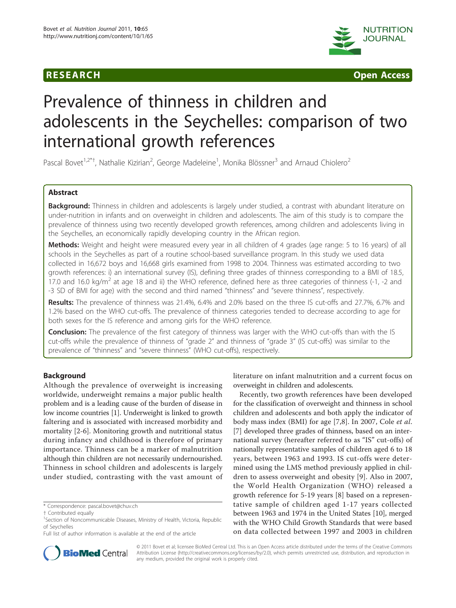



# Prevalence of thinness in children and adolescents in the Seychelles: comparison of two international growth references

Pascal Bovet<sup>1,2\*†</sup>, Nathalie Kizirian<sup>2</sup>, George Madeleine<sup>1</sup>, Monika Blössner<sup>3</sup> and Arnaud Chiolero<sup>2</sup>

# Abstract

Background: Thinness in children and adolescents is largely under studied, a contrast with abundant literature on under-nutrition in infants and on overweight in children and adolescents. The aim of this study is to compare the prevalence of thinness using two recently developed growth references, among children and adolescents living in the Seychelles, an economically rapidly developing country in the African region.

Methods: Weight and height were measured every year in all children of 4 grades (age range: 5 to 16 years) of all schools in the Seychelles as part of a routine school-based surveillance program. In this study we used data collected in 16,672 boys and 16,668 girls examined from 1998 to 2004. Thinness was estimated according to two growth references: i) an international survey (IS), defining three grades of thinness corresponding to a BMI of 18.5, 17.0 and 16.0 kg/m<sup>2</sup> at age 18 and ii) the WHO reference, defined here as three categories of thinness (-1, -2 and -3 SD of BMI for age) with the second and third named "thinness" and "severe thinness", respectively.

Results: The prevalence of thinness was 21.4%, 6.4% and 2.0% based on the three IS cut-offs and 27.7%, 6.7% and 1.2% based on the WHO cut-offs. The prevalence of thinness categories tended to decrease according to age for both sexes for the IS reference and among girls for the WHO reference.

**Conclusion:** The prevalence of the first category of thinness was larger with the WHO cut-offs than with the IS cut-offs while the prevalence of thinness of "grade 2" and thinness of "grade 3" (IS cut-offs) was similar to the prevalence of "thinness" and "severe thinness" (WHO cut-offs), respectively.

# Background

Although the prevalence of overweight is increasing worldwide, underweight remains a major public health problem and is a leading cause of the burden of disease in low income countries [\[1](#page-4-0)]. Underweight is linked to growth faltering and is associated with increased morbidity and mortality [[2](#page-4-0)[-6](#page-5-0)]. Monitoring growth and nutritional status during infancy and childhood is therefore of primary importance. Thinness can be a marker of malnutrition although thin children are not necessarily undernourished. Thinness in school children and adolescents is largely under studied, contrasting with the vast amount of



Recently, two growth references have been developed for the classification of overweight and thinness in school children and adolescents and both apply the indicator of body mass index (BMI) for age [[7,8\]](#page-5-0). In 2007, Cole et al. [[7\]](#page-5-0) developed three grades of thinness, based on an international survey (hereafter referred to as "IS" cut-offs) of nationally representative samples of children aged 6 to 18 years, between 1963 and 1993. IS cut-offs were determined using the LMS method previously applied in children to assess overweight and obesity [\[9\]](#page-5-0). Also in 2007, the World Health Organization (WHO) released a growth reference for 5-19 years [\[8](#page-5-0)] based on a representative sample of children aged 1-17 years collected between 1963 and 1974 in the United States [\[10](#page-5-0)], merged with the WHO Child Growth Standards that were based on data collected between 1997 and 2003 in children



© 2011 Bovet et al; licensee BioMed Central Ltd. This is an Open Access article distributed under the terms of the Creative Commons Attribution License [\(http://creativecommons.org/licenses/by/2.0](http://creativecommons.org/licenses/by/2.0)), which permits unrestricted use, distribution, and reproduction in any medium, provided the original work is properly cited.

<sup>\*</sup> Correspondence: [pascal.bovet@chuv.ch](mailto:pascal.bovet@chuv.ch)

<sup>†</sup> Contributed equally <sup>1</sup>

<sup>&</sup>lt;sup>1</sup>Section of Noncommunicable Diseases, Ministry of Health, Victoria, Republic of Seychelles

Full list of author information is available at the end of the article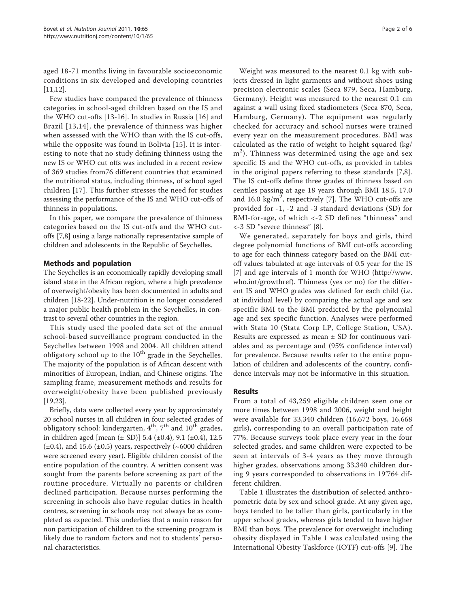aged 18-71 months living in favourable socioeconomic conditions in six developed and developing countries [[11,12\]](#page-5-0).

Few studies have compared the prevalence of thinness categories in school-aged children based on the IS and the WHO cut-offs [\[13](#page-5-0)-[16](#page-5-0)]. In studies in Russia [[16](#page-5-0)] and Brazil [[13,14](#page-5-0)], the prevalence of thinness was higher when assessed with the WHO than with the lS cut-offs, while the opposite was found in Bolivia [[15](#page-5-0)]. It is interesting to note that no study defining thinness using the new IS or WHO cut offs was included in a recent review of 369 studies from76 different countries that examined the nutritional status, including thinness, of school aged children [[17](#page-5-0)]. This further stresses the need for studies assessing the performance of the IS and WHO cut-offs of thinness in populations.

In this paper, we compare the prevalence of thinness categories based on the IS cut-offs and the WHO cutoffs [\[7,8](#page-5-0)] using a large nationally representative sample of children and adolescents in the Republic of Seychelles.

# Methods and population

The Seychelles is an economically rapidly developing small island state in the African region, where a high prevalence of overweight/obesity has been documented in adults and children [\[18-22](#page-5-0)]. Under-nutrition is no longer considered a major public health problem in the Seychelles, in contrast to several other countries in the region.

This study used the pooled data set of the annual school-based surveillance program conducted in the Seychelles between 1998 and 2004. All children attend obligatory school up to the  $10<sup>th</sup>$  grade in the Seychelles. The majority of the population is of African descent with minorities of European, Indian, and Chinese origins. The sampling frame, measurement methods and results for overweight/obesity have been published previously [[19,23\]](#page-5-0).

Briefly, data were collected every year by approximately 20 school nurses in all children in four selected grades of obligatory school: kindergarten,  $4^{\text{th}}$ ,  $7^{\text{th}}$  and  $10^{\text{th}}$  grades, in children aged [mean (± SD)] 5.4 (±0.4), 9.1 (±0.4), 12.5  $(\pm 0.4)$ , and 15.6  $(\pm 0.5)$  years, respectively (~6000 children were screened every year). Eligible children consist of the entire population of the country. A written consent was sought from the parents before screening as part of the routine procedure. Virtually no parents or children declined participation. Because nurses performing the screening in schools also have regular duties in health centres, screening in schools may not always be as completed as expected. This underlies that a main reason for non participation of children to the screening program is likely due to random factors and not to students' personal characteristics.

Weight was measured to the nearest 0.1 kg with subjects dressed in light garments and without shoes using precision electronic scales (Seca 879, Seca, Hamburg, Germany). Height was measured to the nearest 0.1 cm against a wall using fixed stadiometers (Seca 870, Seca, Hamburg, Germany). The equipment was regularly checked for accuracy and school nurses were trained every year on the measurement procedures. BMI was calculated as the ratio of weight to height squared (kg/ m<sup>2</sup>). Thinness was determined using the age and sex specific IS and the WHO cut-offs, as provided in tables in the original papers referring to these standards [[7,8](#page-5-0)]. The IS cut-offs define three grades of thinness based on centiles passing at age 18 years through BMI 18.5, 17.0 and 16.0  $\text{kg/m}^2$ , respectively [\[7](#page-5-0)]. The WHO cut-offs are provided for -1, -2 and -3 standard deviations (SD) for BMI-for-age, of which <-2 SD defines "thinness" and <-3 SD "severe thinness" [\[8](#page-5-0)].

We generated, separately for boys and girls, third degree polynomial functions of BMI cut-offs according to age for each thinness category based on the BMI cutoff values tabulated at age intervals of 0.5 year for the IS [[7\]](#page-5-0) and age intervals of 1 month for WHO ([http://www.](http://www.who.int/growthref) [who.int/growthref\)](http://www.who.int/growthref). Thinness (yes or no) for the different IS and WHO grades was defined for each child (i.e. at individual level) by comparing the actual age and sex specific BMI to the BMI predicted by the polynomial age and sex specific function. Analyses were performed with Stata 10 (Stata Corp LP, College Station, USA). Results are expressed as mean ± SD for continuous variables and as percentage and (95% confidence interval) for prevalence. Because results refer to the entire population of children and adolescents of the country, confidence intervals may not be informative in this situation.

# Results

From a total of 43,259 eligible children seen one or more times between 1998 and 2006, weight and height were available for 33,340 children (16,672 boys, 16,668 girls), corresponding to an overall participation rate of 77%. Because surveys took place every year in the four selected grades, and same children were expected to be seen at intervals of 3-4 years as they move through higher grades, observations among 33,340 children during 9 years corresponded to observations in 19'764 different children.

Table [1](#page-2-0) illustrates the distribution of selected anthropometric data by sex and school grade. At any given age, boys tended to be taller than girls, particularly in the upper school grades, whereas girls tended to have higher BMI than boys. The prevalence for overweight including obesity displayed in Table [1](#page-2-0) was calculated using the International Obesity Taskforce (IOTF) cut-offs [[9\]](#page-5-0). The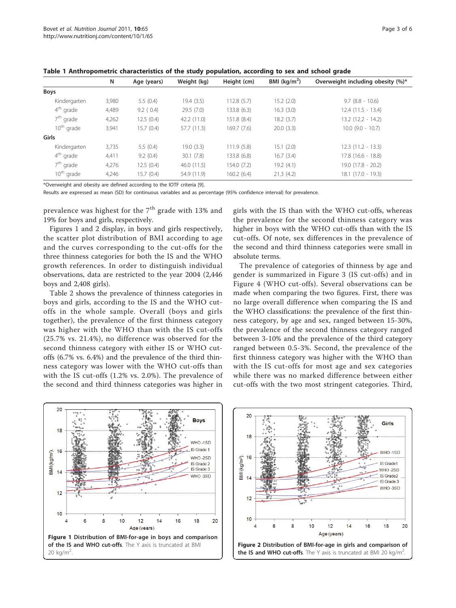|                        | N     | Age (years) | Weight (kg) | Height (cm) | BMI ( $kg/m2$ ) | Overweight including obesity (%)* |
|------------------------|-------|-------------|-------------|-------------|-----------------|-----------------------------------|
| Boys                   |       |             |             |             |                 |                                   |
| Kindergarten           | 3,980 | 5.5(0.4)    | 19.4(3.5)   | 112.8(5.7)  | 15.2(2.0)       | $9.7$ (8.8 - 10.6)                |
| $4th$ grade            | 4,489 | 9.2(0.4)    | 29.5(7.0)   | 133.8(6.3)  | 16.3(3.0)       | $12.4(11.5 - 13.4)$               |
| $7th$ grade            | 4,262 | 12.5(0.4)   | 42.2 (11.0) | 151.8(8.4)  | 18.2(3.7)       | 13.2 (12.2 - 14.2)                |
| $10th$ grade           | 3,941 | 15.7(0.4)   | 57.7 (11.3) | 169.7(7.6)  | 20.0(3.3)       | $10.0$ (9.0 - 10.7)               |
| Girls                  |       |             |             |             |                 |                                   |
| Kindergarten           | 3,735 | 5.5(0.4)    | 19.0(3.3)   | 111.9(5.8)  | 15.1(2.0)       | $12.3(11.2 - 13.3)$               |
| $4th$ grade            | 4,411 | 9.2(0.4)    | 30.1(7.8)   | 133.8 (6.8) | 16.7(3.4)       | $17.8(16.6 - 18.8)$               |
| $7th$ grade            | 4,276 | 12.5(0.4)   | 46.0(11.5)  | 154.0 (7.2) | 19.2(4.1)       | $19.0$ (17.8 - 20.2)              |
| 10 <sup>th</sup> grade | 4,246 | 15.7(0.4)   | 54.9 (11.9) | 160.2(6.4)  | 21.3(4.2)       | 18.1 (17.0 - 19.3)                |

<span id="page-2-0"></span>Table 1 Anthropometric characteristics of the study population, according to sex and school grade

\*Overweight and obesity are defined according to the IOTF criteria [\[9](#page-5-0)].

Results are expressed as mean (SD) for continuous variables and as percentage (95% confidence interval) for prevalence.

prevalence was highest for the  $7<sup>th</sup>$  grade with 13% and 19% for boys and girls, respectively.

Figures 1 and 2 display, in boys and girls respectively, the scatter plot distribution of BMI according to age and the curves corresponding to the cut-offs for the three thinness categories for both the IS and the WHO growth references. In order to distinguish individual observations, data are restricted to the year 2004 (2,446 boys and 2,408 girls).

Table [2](#page-3-0) shows the prevalence of thinness categories in boys and girls, according to the IS and the WHO cutoffs in the whole sample. Overall (boys and girls together), the prevalence of the first thinness category was higher with the WHO than with the IS cut-offs (25.7% vs. 21.4%), no difference was observed for the second thinness category with either IS or WHO cutoffs (6.7% vs. 6.4%) and the prevalence of the third thinness category was lower with the WHO cut-offs than with the IS cut-offs (1.2% vs. 2.0%). The prevalence of the second and third thinness categories was higher in girls with the IS than with the WHO cut-offs, whereas the prevalence for the second thinness category was higher in boys with the WHO cut-offs than with the IS cut-offs. Of note, sex differences in the prevalence of the second and third thinness categories were small in absolute terms.

The prevalence of categories of thinness by age and gender is summarized in Figure [3](#page-3-0) (IS cut-offs) and in Figure [4](#page-3-0) (WHO cut-offs). Several observations can be made when comparing the two figures. First, there was no large overall difference when comparing the IS and the WHO classifications: the prevalence of the first thinness category, by age and sex, ranged between 15-30%, the prevalence of the second thinness category ranged between 3-10% and the prevalence of the third category ranged between 0.5-3%. Second, the prevalence of the first thinness category was higher with the WHO than with the IS cut-offs for most age and sex categories while there was no marked difference between either cut-offs with the two most stringent categories. Third,



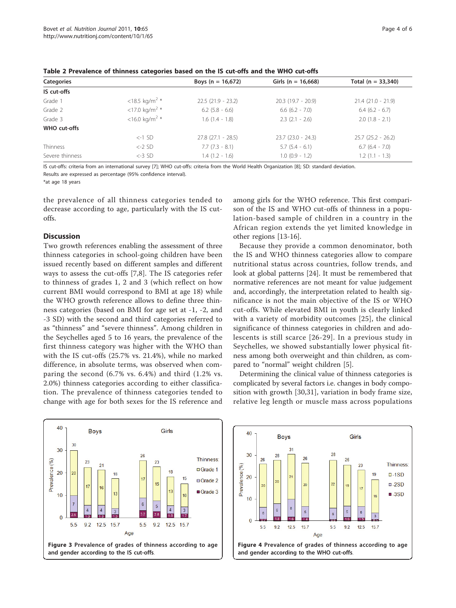<span id="page-3-0"></span>

| Categories      |                              | Boys ( $n = 16,672$ ) | Girls ( $n = 16,668$ ) | Total $(n = 33,340)$     |
|-----------------|------------------------------|-----------------------|------------------------|--------------------------|
| IS cut-offs     |                              |                       |                        |                          |
| Grade 1         | $<$ 18.5 kg/m <sup>2</sup> * | $22.5(21.9 - 23.2)$   | $20.3(19.7 - 20.9)$    | $21.4(21.0 - 21.9)$      |
| Grade 2         | $<$ 17.0 kg/m <sup>2</sup> * | $6.2$ (5.8 - 6.6)     | $6.6$ $(6.2 - 7.0)$    | $6.4$ (6.2 - 6.7)        |
| Grade 3         | $<$ 16.0 kg/m <sup>2</sup> * | $1.6(1.4 - 1.8)$      | $2.3$ $(2.1 - 2.6)$    | $2.0$ $(1.8 - 2.1)$      |
| WHO cut-offs    |                              |                       |                        |                          |
|                 | $<-1$ SD                     | $27.8$ (27.1 - 28.5)  | $23.7(23.0 - 24.3)$    | $25.7$ ( $25.2 - 26.2$ ) |
| Thinness        | $<-2$ SD                     | $7.7(7.3 - 8.1)$      | $5.7(5.4 - 6.1)$       | $6.7(6.4 - 7.0)$         |
| Severe thinness | $< -3$ SD                    | $1.4(1.2 - 1.6)$      | $1.0$ (0.9 - 1.2)      | $1.2(1.1 - 1.3)$         |

IS cut-offs: criteria from an international survey [[7](#page-5-0)]; WHO cut-offs: criteria from the World Health Organization [[8](#page-5-0)]; SD: standard deviation.

Results are expressed as percentage (95% confidence interval).

\*at age 18 years

the prevalence of all thinness categories tended to decrease according to age, particularly with the IS cutoffs.

# Discussion

Two growth references enabling the assessment of three thinness categories in school-going children have been issued recently based on different samples and different ways to assess the cut-offs [[7,8](#page-5-0)]. The IS categories refer to thinness of grades 1, 2 and 3 (which reflect on how current BMI would correspond to BMI at age 18) while the WHO growth reference allows to define three thinness categories (based on BMI for age set at -1, -2, and -3 SD) with the second and third categories referred to as "thinness" and "severe thinness". Among children in the Seychelles aged 5 to 16 years, the prevalence of the first thinness category was higher with the WHO than with the IS cut-offs (25.7% vs. 21.4%), while no marked difference, in absolute terms, was observed when comparing the second (6.7% vs. 6.4%) and third (1.2% vs. 2.0%) thinness categories according to either classification. The prevalence of thinness categories tended to change with age for both sexes for the IS reference and

among girls for the WHO reference. This first comparison of the IS and WHO cut-offs of thinness in a population-based sample of children in a country in the African region extends the yet limited knowledge in other regions [\[13](#page-5-0)-[16\]](#page-5-0).

Because they provide a common denominator, both the IS and WHO thinness categories allow to compare nutritional status across countries, follow trends, and look at global patterns [[24](#page-5-0)]. It must be remembered that normative references are not meant for value judgement and, accordingly, the interpretation related to health significance is not the main objective of the IS or WHO cut-offs. While elevated BMI in youth is clearly linked with a variety of morbidity outcomes [[25](#page-5-0)], the clinical significance of thinness categories in children and adolescents is still scarce [[26-29\]](#page-5-0). In a previous study in Seychelles, we showed substantially lower physical fitness among both overweight and thin children, as compared to "normal" weight children [[5\]](#page-5-0).

Determining the clinical value of thinness categories is complicated by several factors i.e. changes in body composition with growth [\[30](#page-5-0),[31\]](#page-5-0), variation in body frame size, relative leg length or muscle mass across populations



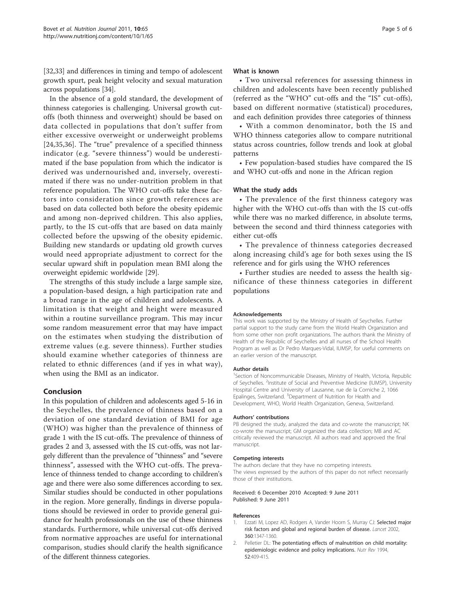<span id="page-4-0"></span>[[32,33](#page-5-0)] and differences in timing and tempo of adolescent growth spurt, peak height velocity and sexual maturation across populations [\[34\]](#page-5-0).

In the absence of a gold standard, the development of thinness categories is challenging. Universal growth cutoffs (both thinness and overweight) should be based on data collected in populations that don't suffer from either excessive overweight or underweight problems [[24,35,36](#page-5-0)]. The "true" prevalence of a specified thinness indicator (e.g. "severe thinness") would be underestimated if the base population from which the indicator is derived was undernourished and, inversely, overestimated if there was no under-nutrition problem in that reference population. The WHO cut-offs take these factors into consideration since growth references are based on data collected both before the obesity epidemic and among non-deprived children. This also applies, partly, to the IS cut-offs that are based on data mainly collected before the upswing of the obesity epidemic. Building new standards or updating old growth curves would need appropriate adjustment to correct for the secular upward shift in population mean BMI along the overweight epidemic worldwide [[29\]](#page-5-0).

The strengths of this study include a large sample size, a population-based design, a high participation rate and a broad range in the age of children and adolescents. A limitation is that weight and height were measured within a routine surveillance program. This may incur some random measurement error that may have impact on the estimates when studying the distribution of extreme values (e.g. severe thinness). Further studies should examine whether categories of thinness are related to ethnic differences (and if yes in what way), when using the BMI as an indicator.

### Conclusion

In this population of children and adolescents aged 5-16 in the Seychelles, the prevalence of thinness based on a deviation of one standard deviation of BMI for age (WHO) was higher than the prevalence of thinness of grade 1 with the IS cut-offs. The prevalence of thinness of grades 2 and 3, assessed with the IS cut-offs, was not largely different than the prevalence of "thinness" and "severe thinness", assessed with the WHO cut-offs. The prevalence of thinness tended to change according to children's age and there were also some differences according to sex. Similar studies should be conducted in other populations in the region. More generally, findings in diverse populations should be reviewed in order to provide general guidance for health professionals on the use of these thinness standards. Furthermore, while universal cut-offs derived from normative approaches are useful for international comparison, studies should clarify the health significance of the different thinness categories.

#### What is known

• Two universal references for assessing thinness in children and adolescents have been recently published (referred as the "WHO" cut-offs and the "IS" cut-offs), based on different normative (statistical) procedures, and each definition provides three categories of thinness

• With a common denominator, both the IS and WHO thinness categories allow to compare nutritional status across countries, follow trends and look at global patterns

• Few population-based studies have compared the IS and WHO cut-offs and none in the African region

#### What the study adds

• The prevalence of the first thinness category was higher with the WHO cut-offs than with the IS cut-offs while there was no marked difference, in absolute terms, between the second and third thinness categories with either cut-offs

• The prevalence of thinness categories decreased along increasing child's age for both sexes using the IS reference and for girls using the WHO references

• Further studies are needed to assess the health significance of these thinness categories in different populations

#### Acknowledgements

This work was supported by the Ministry of Health of Seychelles. Further partial support to the study came from the World Health Organization and from some other non profit organizations. The authors thank the Ministry of Health of the Republic of Seychelles and all nurses of the School Health Program as well as Dr Pedro Marques-Vidal, IUMSP, for useful comments on an earlier version of the manuscript.

#### Author details

<sup>1</sup>Section of Noncommunicable Diseases, Ministry of Health, Victoria, Republic of Seychelles. <sup>2</sup>Institute of Social and Preventive Medicine (IUMSP), University Hospital Centre and University of Lausanne, rue de la Corniche 2, 1066 Epalinges, Switzerland. <sup>3</sup>Department of Nutrition for Health and Development, WHO, World Health Organization, Geneva, Switzerland.

#### Authors' contributions

PB designed the study, analyzed the data and co-wrote the manuscript; NK co-wrote the manuscript; GM organized the data collection; MB and AC critically reviewed the manuscript. All authors read and approved the final manuscript.

#### Competing interests

The authors declare that they have no competing interests. The views expressed by the authors of this paper do not reflect necessarily those of their institutions.

#### Received: 6 December 2010 Accepted: 9 June 2011 Published: 9 June 2011

#### References

- 1. Ezzati M, Lopez AD, Rodgers A, Vander Hoorn S, Murray CJ: [Selected major](http://www.ncbi.nlm.nih.gov/pubmed/12423980?dopt=Abstract) [risk factors and global and regional burden of disease.](http://www.ncbi.nlm.nih.gov/pubmed/12423980?dopt=Abstract) Lancet 2002, 360:1347-1360.
- 2. Pelletier DL: [The potentiating effects of malnutrition on child mortality:](http://www.ncbi.nlm.nih.gov/pubmed/7898782?dopt=Abstract) [epidemiologic evidence and policy implications.](http://www.ncbi.nlm.nih.gov/pubmed/7898782?dopt=Abstract) Nutr Rev 1994, 52:409-415.